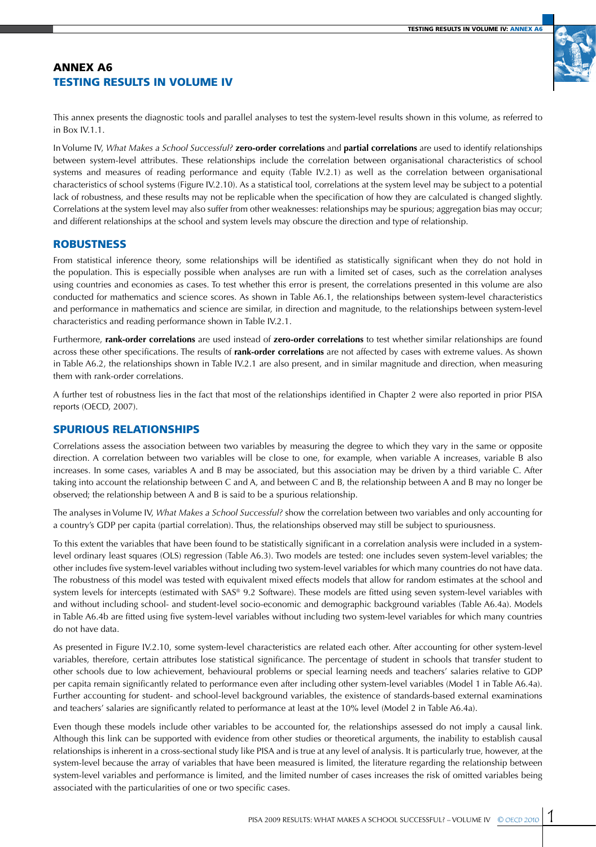# Annex A6 Testing results in Volume IV



This annex presents the diagnostic tools and parallel analyses to test the system-level results shown in this volume, as referred to in Box IV.1.1.

In Volume IV, *What Makes a School Successful?* **zero-order correlations** and **partial correlations** are used to identify relationships between system-level attributes. These relationships include the correlation between organisational characteristics of school systems and measures of reading performance and equity (Table IV.2.1) as well as the correlation between organisational characteristics of school systems (Figure IV.2.10). As a statistical tool, correlations at the system level may be subject to a potential lack of robustness, and these results may not be replicable when the specification of how they are calculated is changed slightly. Correlations at the system level may also suffer from other weaknesses: relationships may be spurious; aggregation bias may occur; and different relationships at the school and system levels may obscure the direction and type of relationship.

### **ROBUSTNESS**

From statistical inference theory, some relationships will be identified as statistically significant when they do not hold in the population. This is especially possible when analyses are run with a limited set of cases, such as the correlation analyses using countries and economies as cases. To test whether this error is present, the correlations presented in this volume are also conducted for mathematics and science scores. As shown in Table A6.1, the relationships between system-level characteristics and performance in mathematics and science are similar, in direction and magnitude, to the relationships between system-level characteristics and reading performance shown in Table IV.2.1.

Furthermore, **rank-order correlations** are used instead of **zero-order correlations** to test whether similar relationships are found across these other specifications. The results of **rank-order correlations** are not affected by cases with extreme values. As shown in Table A6.2, the relationships shown in Table IV.2.1 are also present, and in similar magnitude and direction, when measuring them with rank-order correlations.

A further test of robustness lies in the fact that most of the relationships identified in Chapter 2 were also reported in prior PISA reports (OECD, 2007).

# Spurious relationships

Correlations assess the association between two variables by measuring the degree to which they vary in the same or opposite direction. A correlation between two variables will be close to one, for example, when variable A increases, variable B also increases. In some cases, variables A and B may be associated, but this association may be driven by a third variable C. After taking into account the relationship between C and A, and between C and B, the relationship between A and B may no longer be observed; the relationship between A and B is said to be a spurious relationship.

The analyses in Volume IV, *What Makes a School Successful?* show the correlation between two variables and only accounting for a country's GDP per capita (partial correlation). Thus, the relationships observed may still be subject to spuriousness.

To this extent the variables that have been found to be statistically significant in a correlation analysis were included in a systemlevel ordinary least squares (OLS) regression (Table A6.3). Two models are tested: one includes seven system-level variables; the other includes five system-level variables without including two system-level variables for which many countries do not have data. The robustness of this model was tested with equivalent mixed effects models that allow for random estimates at the school and system levels for intercepts (estimated with SAS® 9.2 Software). These models are fitted using seven system-level variables with and without including school- and student-level socio-economic and demographic background variables (Table A6.4a). Models in Table A6.4b are fitted using five system-level variables without including two system-level variables for which many countries do not have data.

As presented in Figure IV.2.10, some system-level characteristics are related each other. After accounting for other system-level variables, therefore, certain attributes lose statistical significance. The percentage of student in schools that transfer student to other schools due to low achievement, behavioural problems or special learning needs and teachers' salaries relative to GDP per capita remain significantly related to performance even after including other system-level variables (Model 1 in Table A6.4a). Further accounting for student- and school-level background variables, the existence of standards-based external examinations and teachers' salaries are significantly related to performance at least at the 10% level (Model 2 in Table A6.4a).

Even though these models include other variables to be accounted for, the relationships assessed do not imply a causal link. Although this link can be supported with evidence from other studies or theoretical arguments, the inability to establish causal relationships is inherent in a cross-sectional study like PISA and is true at any level of analysis. It is particularly true, however, at the system-level because the array of variables that have been measured is limited, the literature regarding the relationship between system-level variables and performance is limited, and the limited number of cases increases the risk of omitted variables being associated with the particularities of one or two specific cases.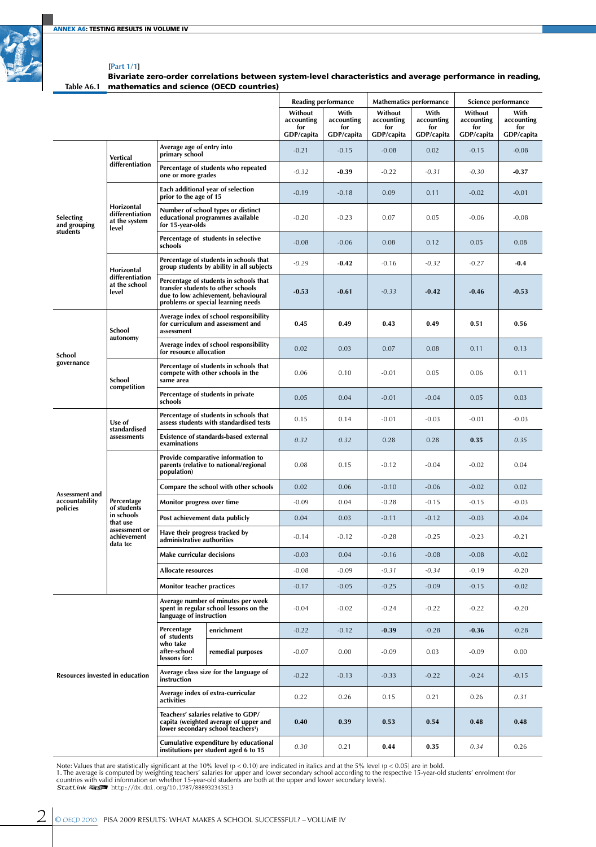

#### **[Part 1/1]**

**Table A6.1** mathematics and science (OECD countries) Bivariate zero-order correlations between system-level characteristics and average performance in reading,

|                                              |                                                         |                                                              |                                                                                                                                                           |                                            | <b>Reading performance</b>              |                                            | <b>Mathematics performance</b>          |                                            | Science performance                     |
|----------------------------------------------|---------------------------------------------------------|--------------------------------------------------------------|-----------------------------------------------------------------------------------------------------------------------------------------------------------|--------------------------------------------|-----------------------------------------|--------------------------------------------|-----------------------------------------|--------------------------------------------|-----------------------------------------|
|                                              |                                                         |                                                              |                                                                                                                                                           | Without<br>accounting<br>for<br>GDP/capita | With<br>accounting<br>for<br>GDP/capita | Without<br>accounting<br>for<br>GDP/capita | With<br>accounting<br>for<br>GDP/capita | Without<br>accounting<br>for<br>GDP/capita | With<br>accounting<br>for<br>GDP/capita |
|                                              | Vertical                                                | Average age of entry into<br>primary school                  |                                                                                                                                                           | $-0.21$                                    | $-0.15$                                 | $-0.08$                                    | 0.02                                    | $-0.15$                                    | $-0.08$                                 |
|                                              | differentiation                                         | one or more grades                                           | Percentage of students who repeated                                                                                                                       | $-0.32$                                    | $-0.39$                                 | $-0.22$                                    | $-0.31$                                 | $-0.30$                                    | $-0.37$                                 |
| <b>Selecting</b><br>and grouping<br>students |                                                         | prior to the age of 15                                       | Each additional year of selection                                                                                                                         | $-0.19$                                    | $-0.18$                                 | 0.09                                       | 0.11                                    | $-0.02$                                    | $-0.01$                                 |
|                                              | Horizontal<br>differentiation<br>at the system<br>level | for 15-year-olds                                             | Number of school types or distinct<br>educational programmes available                                                                                    | $-0.20$                                    | $-0.23$                                 | 0.07                                       | 0.05                                    | $-0.06$                                    | $-0.08$                                 |
|                                              |                                                         | schools                                                      | Percentage of students in selective                                                                                                                       | $-0.08$                                    | $-0.06$                                 | 0.08                                       | 0.12                                    | 0.05                                       | 0.08                                    |
|                                              | Horizontal                                              |                                                              | Percentage of students in schools that<br>group students by ability in all subjects                                                                       | $-0.29$                                    | $-0.42$                                 | $-0.16$                                    | $-0.32$                                 | $-0.27$                                    | $-0.4$                                  |
|                                              | differentiation<br>at the school<br>level               |                                                              | Percentage of students in schools that<br>transfer students to other schools<br>due to low achievement, behavioural<br>problems or special learning needs | -0.53                                      | $-0.61$                                 | $-0.33$                                    | $-0.42$                                 | $-0.46$                                    | $-0.53$                                 |
| School<br>governance                         | School                                                  | assessment                                                   | Average index of school responsibility<br>for curriculum and assessment and                                                                               | 0.45                                       | 0.49                                    | 0.43                                       | 0.49                                    | 0.51                                       | 0.56                                    |
|                                              | autonomy                                                | for resource allocation                                      | Average index of school responsibility                                                                                                                    | 0.02                                       | 0.03                                    | 0.07                                       | 0.08                                    | 0.11                                       | 0.13                                    |
|                                              | School<br>competition                                   | same area                                                    | Percentage of students in schools that<br>compete with other schools in the                                                                               | 0.06                                       | 0.10                                    | $-0.01$                                    | 0.05                                    | 0.06                                       | 0.11                                    |
|                                              |                                                         | schools                                                      | Percentage of students in private                                                                                                                         | 0.05                                       | 0.04                                    | $-0.01$                                    | $-0.04$                                 | 0.05                                       | 0.03                                    |
|                                              | Use of<br>standardised                                  |                                                              | Percentage of students in schools that<br>assess students with standardised tests                                                                         | 0.15                                       | 0.14                                    | $-0.01$                                    | $-0.03$                                 | $-0.01$                                    | $-0.03$                                 |
|                                              | assessments                                             | examinations                                                 | <b>Existence of standards-based external</b>                                                                                                              | 0.32                                       | 0.32                                    | 0.28                                       | 0.28                                    | 0.35                                       | 0.35                                    |
|                                              |                                                         | population)                                                  | Provide comparative information to<br>parents (relative to national/regional                                                                              | 0.08                                       | 0.15                                    | $-0.12$                                    | $-0.04$                                 | $-0.02$                                    | 0.04                                    |
| Assessment and                               |                                                         |                                                              | Compare the school with other schools                                                                                                                     | 0.02                                       | 0.06                                    | $-0.10$                                    | $-0.06$                                 | $-0.02$                                    | 0.02                                    |
| accountability<br>policies                   | Percentage<br>of students                               | Monitor progress over time                                   |                                                                                                                                                           | $-0.09$                                    | 0.04                                    | $-0.28$                                    | $-0.15$                                 | $-0.15$                                    | $-0.03$                                 |
|                                              | in schools<br>that use                                  | Post achievement data publicly                               |                                                                                                                                                           | 0.04                                       | 0.03                                    | $-0.11$                                    | $-0.12$                                 | $-0.03$                                    | $-0.04$                                 |
|                                              | assessment or<br>achievement<br>data to:                | Have their progress tracked by<br>administrative authorities |                                                                                                                                                           | $-0.14$                                    | $-0.12$                                 | $-0.28$                                    | $-0.25$                                 | $-0.23$                                    | $-0.21$                                 |
|                                              |                                                         | <b>Make curricular decisions</b>                             |                                                                                                                                                           | $-0.03$                                    | 0.04                                    | $-0.16$                                    | $-0.08$                                 | $-0.08$                                    | $-0.02$                                 |
|                                              |                                                         | <b>Allocate resources</b>                                    |                                                                                                                                                           | $-0.08$                                    | $-0.09$                                 | $-0.31$                                    | $-0.34$                                 | $-0.19$                                    | $-0.20$                                 |
|                                              |                                                         | <b>Monitor teacher practices</b>                             |                                                                                                                                                           | $-0.17$                                    | $-0.05$                                 | $-0.25$                                    | $-0.09$                                 | $-0.15$                                    | $-0.02$                                 |
|                                              |                                                         | language of instruction                                      | Average number of minutes per week<br>spent in regular school lessons on the                                                                              | $-0.04$                                    | $-0.02$                                 | $-0.24$                                    | $-0.22$                                 | $-0.22$                                    | $-0.20$                                 |
|                                              |                                                         | Percentage<br>of students                                    | enrichment                                                                                                                                                | $-0.22$                                    | $-0.12$                                 | $-0.39$                                    | $-0.28$                                 | $-0.36$                                    | $-0.28$                                 |
|                                              |                                                         | who take<br>after-school<br>lessons for:                     | remedial purposes                                                                                                                                         | $-0.07$                                    | 0.00                                    | $-0.09$                                    | 0.03                                    | $-0.09$                                    | 0.00                                    |
| <b>Resources invested in education</b>       |                                                         | instruction                                                  | Average class size for the language of                                                                                                                    | $-0.22$                                    | $-0.13$                                 | $-0.33$                                    | $-0.22$                                 | $-0.24$                                    | $-0.15$                                 |
|                                              |                                                         | activities                                                   | Average index of extra-curricular                                                                                                                         | 0.22                                       | 0.26                                    | 0.15                                       | 0.21                                    | 0.26                                       | 0.31                                    |
|                                              |                                                         |                                                              | Teachers' salaries relative to GDP/<br>capita (weighted average of upper and<br>lower secondary school teachers <sup>1</sup> )                            | 0.40                                       | 0.39                                    | 0.53                                       | 0.54                                    | 0.48                                       | 0.48                                    |
|                                              |                                                         |                                                              | Cumulative expenditure by educational<br>institutions per student aged 6 to 15                                                                            |                                            | 0.21                                    | 0.44                                       | 0.35                                    | 0.34                                       | 0.26                                    |

Note: Values that are statistically significant at the 10% level (p < 0.10) are indicated in italics and at the 5% level (p < 0.05) are in bold.<br>1. The average is computed by weighting teachers' salaries for upper and lo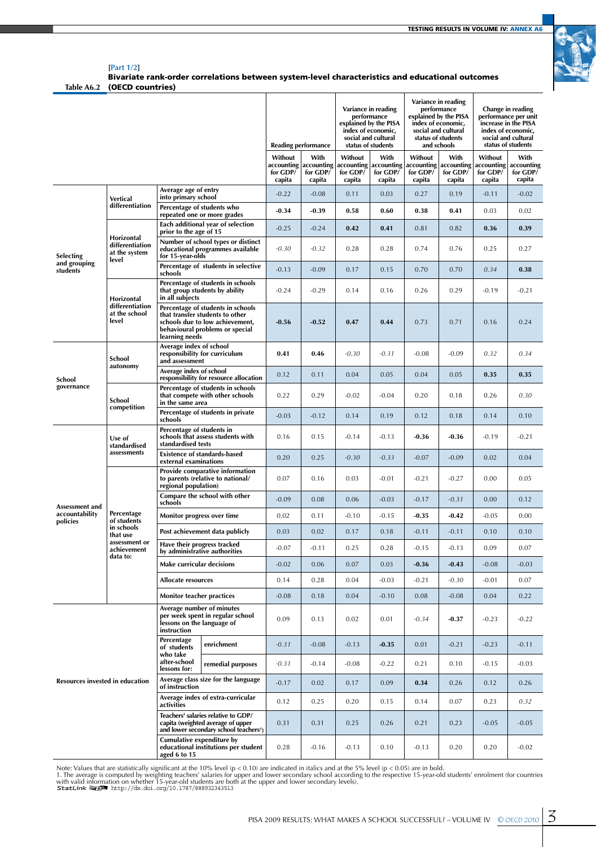T

 $\overline{1}$ 



**[Part 1/2] Table A6.2** (OECD countries) Bivariate rank-order correlations between system-level characteristics and educational outcomes

٦

T

|                                        |                                                         |                                                                        |                                                                                                                                            | <b>Reading performance</b>                  |                                          | Variance in reading<br>performance<br>explained by the PISA<br>index of economic,<br>social and cultural<br>status of students |                                          | Variance in reading<br>performance<br>explained by the PISA<br>index of economic,<br>social and cultural<br>status of students<br>and schools |                                          | Change in reading<br>performance per unit<br>increase in the PISA<br>index of economic,<br>social and cultural<br>status of students |                                          |
|----------------------------------------|---------------------------------------------------------|------------------------------------------------------------------------|--------------------------------------------------------------------------------------------------------------------------------------------|---------------------------------------------|------------------------------------------|--------------------------------------------------------------------------------------------------------------------------------|------------------------------------------|-----------------------------------------------------------------------------------------------------------------------------------------------|------------------------------------------|--------------------------------------------------------------------------------------------------------------------------------------|------------------------------------------|
|                                        |                                                         |                                                                        |                                                                                                                                            | Without<br>accounting<br>for GDP/<br>capita | With<br>accounting<br>for GDP/<br>capita | Without<br>accounting<br>for GDP/<br>capita                                                                                    | With<br>accounting<br>for GDP/<br>capita | Without<br>accounting<br>for GDP/<br>capita                                                                                                   | With<br>accounting<br>for GDP/<br>capita | Without<br>accounting<br>for GDP/<br>capita                                                                                          | With<br>accounting<br>for GDP/<br>capita |
|                                        | Vertical                                                | Average age of entry<br>into primary school                            |                                                                                                                                            | $-0.22$                                     | $-0.08$                                  | 0.11                                                                                                                           | 0.03                                     | 0.27                                                                                                                                          | 0.19                                     | $-0.11$                                                                                                                              | $-0.02$                                  |
|                                        | differentiation                                         | Percentage of students who                                             | repeated one or more grades                                                                                                                | $-0.34$                                     | $-0.39$                                  | 0.58                                                                                                                           | 0.60                                     | 0.38                                                                                                                                          | 0.41                                     | 0.03                                                                                                                                 | 0.02                                     |
|                                        |                                                         | prior to the age of 15                                                 | Each additional year of selection                                                                                                          | $-0.25$                                     | $-0.24$                                  | 0.42                                                                                                                           | 0.41                                     | 0.81                                                                                                                                          | 0.82                                     | 0.36                                                                                                                                 | 0.39                                     |
| Selecting                              | Horizontal<br>differentiation<br>at the system<br>level | for 15-year-olds                                                       | Number of school types or distinct<br>educational programmes available                                                                     | $-0.30$                                     | $-0.32$                                  | 0.28                                                                                                                           | 0.28                                     | 0.74                                                                                                                                          | 0.76                                     | 0.25                                                                                                                                 | 0.27                                     |
| and grouping<br>students               |                                                         | schools                                                                | Percentage of students in selective                                                                                                        | $-0.13$                                     | $-0.09$                                  | 0.17                                                                                                                           | 0.15                                     | 0.70                                                                                                                                          | 0.70                                     | 0.34                                                                                                                                 | 0.38                                     |
|                                        | Horizontal                                              | in all subjects                                                        | Percentage of students in schools<br>that group students by ability                                                                        | $-0.24$                                     | $-0.29$                                  | 0.14                                                                                                                           | 0.16                                     | 0.26                                                                                                                                          | 0.29                                     | $-0.19$                                                                                                                              | $-0.21$                                  |
|                                        | differentiation<br>at the school<br>level               | learning needs                                                         | Percentage of students in schools<br>that transfer students to other<br>schools due to low achievement,<br>behavioural problems or special | $-0.56$                                     | $-0.52$                                  | 0.47                                                                                                                           | 0.44                                     | 0.73                                                                                                                                          | 0.71                                     | 0.16                                                                                                                                 | 0.24                                     |
| School<br>governance                   | School<br>autonomy                                      | Average index of school<br>and assessment                              | responsibility for curriculum                                                                                                              | 0.41                                        | 0.46                                     | $-0.30$                                                                                                                        | $-0.31$                                  | $-0.08$                                                                                                                                       | $-0.09$                                  | 0.32                                                                                                                                 | 0.34                                     |
|                                        |                                                         | Average index of school                                                | responsibility for resource allocation                                                                                                     | 0.12                                        | 0.11                                     | 0.04                                                                                                                           | 0.05                                     | 0.04                                                                                                                                          | 0.05                                     | 0.35                                                                                                                                 | 0.35                                     |
|                                        | School<br>competition                                   | in the same area                                                       | Percentage of students in schools<br>that compete with other schools                                                                       | 0.22                                        | 0.29                                     | $-0.02$                                                                                                                        | $-0.04$                                  | 0.20                                                                                                                                          | 0.18                                     | 0.26                                                                                                                                 | 0.30                                     |
|                                        |                                                         | schools                                                                | Percentage of students in private                                                                                                          | $-0.03$                                     | $-0.12$                                  | 0.14                                                                                                                           | 0.19                                     | 0.12                                                                                                                                          | 0.18                                     | 0.14                                                                                                                                 | 0.10                                     |
|                                        | Use of<br>standardised                                  | Percentage of students in<br>standardised tests                        | schools that assess students with                                                                                                          | 0.16                                        | 0.15                                     | $-0.14$                                                                                                                        | $-0.13$                                  | $-0.36$                                                                                                                                       | $-0.36$                                  | $-0.19$                                                                                                                              | $-0.21$                                  |
|                                        | assessments                                             |                                                                        | <b>Existence of standards-based</b><br>external examinations                                                                               |                                             | 0.25                                     | $-0.30$                                                                                                                        | $-0.33$                                  | $-0.07$                                                                                                                                       | $-0.09$                                  | 0.02                                                                                                                                 | 0.04                                     |
|                                        |                                                         | regional population)                                                   | Provide comparative information<br>to parents (relative to national/                                                                       | 0.07                                        | 0.16                                     | 0.03                                                                                                                           | -0.01                                    | $-0.21$                                                                                                                                       | $-0.27$                                  | 0.00                                                                                                                                 | 0.05                                     |
| Assessment and                         |                                                         | schools                                                                | Compare the school with other                                                                                                              | $-0.09$                                     | 0.08                                     | 0.06                                                                                                                           | $-0.03$                                  | $-0.17$                                                                                                                                       | $-0.31$                                  | 0.00                                                                                                                                 | 0.12                                     |
| accountability<br>policies             | Percentage<br>of students                               | Monitor progress over time                                             |                                                                                                                                            | 0.02                                        | 0.11                                     | $-0.10$                                                                                                                        | $-0.15$                                  | $-0.35$                                                                                                                                       | $-0.42$                                  | $-0.05$                                                                                                                              | 0.00                                     |
|                                        | in schools<br>that use                                  |                                                                        | Post achievement data publicly                                                                                                             | 0.03                                        | 0.02                                     | 0.17                                                                                                                           | 0.18                                     | $-0.11$                                                                                                                                       | $-0.11$                                  | 0.10                                                                                                                                 | 0.10                                     |
|                                        | assessment or<br>achievement<br>data to:                | Have their progress tracked                                            | by administrative authorities                                                                                                              | $-0.07$                                     | $-0.11$                                  | 0.25                                                                                                                           | 0.28                                     | $-0.15$                                                                                                                                       | $-0.13$                                  | 0.09                                                                                                                                 | 0.07                                     |
|                                        |                                                         | Make curricular decisions                                              |                                                                                                                                            | $-0.02$                                     | 0.06                                     | 0.07                                                                                                                           | 0.03                                     | $-0.36$                                                                                                                                       | $-0.43$                                  | $-0.08$                                                                                                                              | $-0.03$                                  |
|                                        |                                                         | <b>Allocate resources</b>                                              |                                                                                                                                            | 0.14                                        | 0.28                                     | 0.04                                                                                                                           | $-0.03$                                  | $-0.21$                                                                                                                                       | $-0.30$                                  | $-0.01$                                                                                                                              | 0.07                                     |
|                                        |                                                         | <b>Monitor teacher practices</b>                                       |                                                                                                                                            | $-0.08$                                     | 0.18                                     | 0.04                                                                                                                           | $-0.10$                                  | 0.08                                                                                                                                          | $-0.08$                                  | 0.04                                                                                                                                 | 0.22                                     |
|                                        |                                                         | Average number of minutes<br>lessons on the language of<br>instruction | per week spent in regular school                                                                                                           | 0.09                                        | 0.13                                     | 0.02                                                                                                                           | 0.01                                     | $-0.34$                                                                                                                                       | $-0.37$                                  | $-0.23$                                                                                                                              | $-0.22$                                  |
|                                        |                                                         | Percentage<br>of students<br>who take                                  | enrichment                                                                                                                                 | $-0.31$                                     | $-0.08$                                  | $-0.13$                                                                                                                        | $-0.35$                                  | 0.01                                                                                                                                          | $-0.21$                                  | $-0.23$                                                                                                                              | $-0.11$                                  |
|                                        |                                                         | after-school<br>lessons for:                                           | remedial purposes                                                                                                                          | $-0.31$                                     | $-0.14$                                  | $-0.08$                                                                                                                        | $-0.22$                                  | 0.21                                                                                                                                          | 0.10                                     | $-0.15$                                                                                                                              | $-0.03$                                  |
| <b>Resources invested in education</b> |                                                         | of instruction                                                         | Average class size for the language                                                                                                        | $-0.17$                                     | 0.02                                     | 0.17                                                                                                                           | 0.09                                     | 0.34                                                                                                                                          | 0.26                                     | 0.12                                                                                                                                 | 0.26                                     |
|                                        |                                                         | activities                                                             | Average index of extra-curricular                                                                                                          | 0.12                                        | 0.25                                     | 0.20                                                                                                                           | 0.15                                     | 0.14                                                                                                                                          | 0.07                                     | 0.23                                                                                                                                 | 0.32                                     |
|                                        |                                                         |                                                                        | Teachers' salaries relative to GDP/<br>capita (weighted average of upper<br>and lower secondary school teachers <sup>1</sup> )             | 0.31                                        | 0.31                                     | 0.25                                                                                                                           | 0.26                                     | 0.21                                                                                                                                          | 0.23                                     | $-0.05$                                                                                                                              | $-0.05$                                  |
|                                        |                                                         | Cumulative expenditure by<br>aged 6 to 15                              | educational institutions per student                                                                                                       | 0.28                                        | $-0.16$                                  | $-0.13$                                                                                                                        | 0.10                                     | $-0.13$                                                                                                                                       | 0.20                                     | 0.20                                                                                                                                 | $-0.02$                                  |

Note: Values that are statistically significant at the 10% level (p < 0.10) are indicated in italics and at the 5% level (p < 0.05) are in bold.<br>1. The average is computed by weighting teachers' salaries for upper and low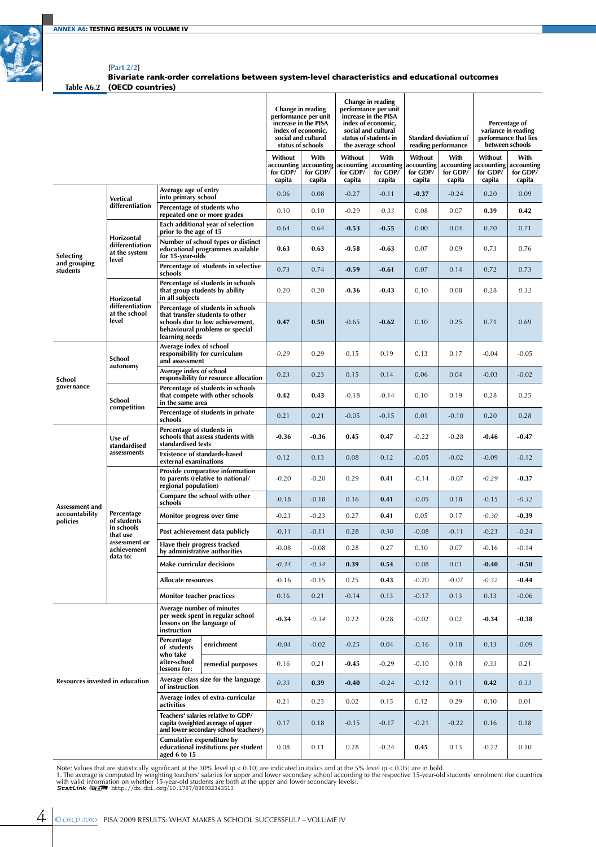

#### **[Part 2/2]** Bivariate rank-order correlations between system-level characteristics and educational outcomes

**Table A6.2** (OECD countries)

|                                 |                                                         |                                                        | Change in reading<br>performance per unit<br>increase in the PISA<br>index of economic,<br>social and cultural<br>status of schools        |                                             | Change in reading<br>performance per unit<br>increase in the PISA<br>index of economic,<br>social and cultural<br>status of students in<br>the average school |                                             | <b>Standard deviation of</b><br>reading performance |                                             | Percentage of<br>variance in reading<br>performance that lies<br>between schools |                                             |                                          |
|---------------------------------|---------------------------------------------------------|--------------------------------------------------------|--------------------------------------------------------------------------------------------------------------------------------------------|---------------------------------------------|---------------------------------------------------------------------------------------------------------------------------------------------------------------|---------------------------------------------|-----------------------------------------------------|---------------------------------------------|----------------------------------------------------------------------------------|---------------------------------------------|------------------------------------------|
|                                 |                                                         |                                                        |                                                                                                                                            | Without<br>accounting<br>for GDP/<br>capita | With<br>accounting<br>for GDP/<br>capita                                                                                                                      | Without<br>accounting<br>for GDP/<br>capita | With<br>accounting<br>for GDP/<br>capita            | Without<br>accounting<br>for GDP/<br>capita | With<br>accounting<br>for GDP/<br>capita                                         | Without<br>accounting<br>for GDP/<br>capita | With<br>accounting<br>for GDP/<br>capita |
|                                 | Vertical                                                | Average age of entry<br>into primary school            |                                                                                                                                            | 0.06                                        | 0.08                                                                                                                                                          | $-0.27$                                     | $-0.11$                                             | $-0.37$                                     | $-0.24$                                                                          | 0.20                                        | 0.09                                     |
|                                 | differentiation                                         | Percentage of students who                             | repeated one or more grades                                                                                                                | 0.10                                        | 0.10                                                                                                                                                          | $-0.29$                                     | $-0.33$                                             | 0.08                                        | 0.07                                                                             | 0.39                                        | 0.42                                     |
|                                 |                                                         | prior to the age of 15                                 | Each additional year of selection                                                                                                          | 0.64                                        | 0.64                                                                                                                                                          | $-0.53$                                     | $-0.55$                                             | 0.00                                        | 0.04                                                                             | 0.70                                        | 0.71                                     |
| Selecting                       | Horizontal<br>differentiation<br>at the system<br>level | for 15-year-olds                                       | Number of school types or distinct<br>educational programmes available                                                                     | 0.63                                        | 0.63                                                                                                                                                          | $-0.58$                                     | $-0.63$                                             | 0.07                                        | 0.09                                                                             | 0.73                                        | 0.76                                     |
| and grouping<br>students        |                                                         | schools                                                | Percentage of students in selective                                                                                                        | 0.73                                        | 0.74                                                                                                                                                          | $-0.59$                                     | $-0.61$                                             | 0.07                                        | 0.14                                                                             | 0.72                                        | 0.73                                     |
|                                 | Horizontal                                              | in all subjects                                        | Percentage of students in schools<br>that group students by ability                                                                        | 0.20                                        | 0.20                                                                                                                                                          | $-0.36$                                     | $-0.43$                                             | 0.10                                        | 0.08                                                                             | 0.28                                        | 0.32                                     |
|                                 | differentiation<br>at the school<br>level               | learning needs                                         | Percentage of students in schools<br>that transfer students to other<br>schools due to low achievement,<br>behavioural problems or special | 0.47                                        | 0.50                                                                                                                                                          | $-0.65$                                     | $-0.62$                                             | 0.10                                        | 0.25                                                                             | 0.71                                        | 0.69                                     |
| School<br>governance            | School<br>autonomy                                      | Average index of school<br>and assessment              | responsibility for curriculum                                                                                                              | 0.29                                        | 0.29                                                                                                                                                          | 0.15                                        | 0.19                                                | 0.13                                        | 0.17                                                                             | $-0.04$                                     | $-0.05$                                  |
|                                 |                                                         | Average index of school                                | responsibility for resource allocation                                                                                                     | 0.23                                        | 0.23                                                                                                                                                          | 0.15                                        | 0.14                                                | 0.06                                        | 0.04                                                                             | $-0.03$                                     | $-0.02$                                  |
|                                 | School<br>competition                                   | in the same area                                       | Percentage of students in schools<br>that compete with other schools                                                                       | 0.42                                        | 0.43                                                                                                                                                          | $-0.18$                                     | $-0.14$                                             | 0.10                                        | 0.19                                                                             | 0.28                                        | 0.25                                     |
|                                 |                                                         | schools                                                | Percentage of students in private                                                                                                          | 0.21                                        | 0.21                                                                                                                                                          | $-0.05$                                     | $-0.15$                                             | 0.01                                        | $-0.10$                                                                          | 0.20                                        | 0.28                                     |
|                                 | Use of<br>standardised                                  | Percentage of students in<br>standardised tests        | schools that assess students with                                                                                                          | $-0.36$                                     | $-0.36$                                                                                                                                                       | 0.45                                        | 0.47                                                | $-0.22$                                     | $-0.28$                                                                          | $-0.46$                                     | $-0.47$                                  |
|                                 | assessments                                             | external examinations                                  | <b>Existence of standards-based</b>                                                                                                        | 0.12                                        | 0.13                                                                                                                                                          | 0.08                                        | 0.12                                                | $-0.05$                                     | $-0.02$                                                                          | $-0.09$                                     | $-0.12$                                  |
|                                 |                                                         | regional population)                                   | Provide comparative information<br>to parents (relative to national/                                                                       | $-0.20$                                     | $-0.20$                                                                                                                                                       | 0.29                                        | 0.41                                                | $-0.14$                                     | $-0.07$                                                                          | $-0.29$                                     | $-0.37$                                  |
| Assessment and                  |                                                         | schools                                                | Compare the school with other                                                                                                              | $-0.18$                                     | $-0.18$                                                                                                                                                       | 0.16                                        | 0.41                                                | $-0.05$                                     | 0.18                                                                             | $-0.15$                                     | $-0.32$                                  |
| accountability<br>policies      | Percentage<br>of students                               | Monitor progress over time                             |                                                                                                                                            | $-0.23$                                     | $-0.23$                                                                                                                                                       | 0.27                                        | 0.41                                                | 0.05                                        | 0.17                                                                             | -0.30                                       | -0.39                                    |
|                                 | in schools<br>that use<br>assessment or                 |                                                        | Post achievement data publicly                                                                                                             | $-0.11$                                     | $-0.11$                                                                                                                                                       | 0.28                                        | 0.30                                                | $-0.08$                                     | $-0.11$                                                                          | $-0.23$                                     | $-0.24$                                  |
|                                 | achievement<br>data to:                                 | Have their progress tracked                            | by administrative authorities                                                                                                              | $-0.08$                                     | $-0.08$                                                                                                                                                       | 0.28                                        | 0.27                                                | 0.10                                        | 0.07                                                                             | $-0.16$                                     | $-0.14$                                  |
|                                 |                                                         | Make curricular decisions                              |                                                                                                                                            | $-0.34$                                     | $-0.34$                                                                                                                                                       | 0.39                                        | 0.54                                                | $-0.08$                                     | 0.01                                                                             | $-0.40$                                     | $-0.50$                                  |
|                                 |                                                         | Allocate resources                                     |                                                                                                                                            | $-0.16$                                     | $-0.15$                                                                                                                                                       | 0.25                                        | 0.43                                                | $-0.20$                                     | $-0.07$                                                                          | $-0.32$                                     | $-0.44$                                  |
|                                 |                                                         | Monitor teacher practices<br>Average number of minutes |                                                                                                                                            | 0.16                                        | 0.21                                                                                                                                                          | $-0.14$                                     | 0.13                                                | $-0.17$                                     | 0.13                                                                             | 0.13                                        | $-0.06$                                  |
|                                 |                                                         | lessons on the language of<br>instruction              | per week spent in regular school                                                                                                           | $-0.34$                                     | $-0.34$                                                                                                                                                       | 0.22                                        | 0.28                                                | $-0.02$                                     | 0.02                                                                             | $-0.34$                                     | $-0.38$                                  |
|                                 |                                                         | Percentage<br>of students<br>who take                  | enrichment                                                                                                                                 | $-0.04$                                     | $-0.02$                                                                                                                                                       | $-0.25$                                     | 0.04                                                | $-0.16$                                     | 0.18                                                                             | 0.13                                        | $-0.09$                                  |
|                                 |                                                         | after-school<br>lessons for:                           | remedial purposes                                                                                                                          | 0.16                                        | 0.21                                                                                                                                                          | $-0.45$                                     | $-0.29$                                             | $-0.10$                                     | 0.18                                                                             | 0.33                                        | 0.21                                     |
| Resources invested in education |                                                         | of instruction                                         | Average class size for the language                                                                                                        | 0.33                                        | 0.39                                                                                                                                                          | $-0.40$                                     | $-0.24$                                             | $-0.12$                                     | 0.11                                                                             | 0.42                                        | 0.33                                     |
|                                 |                                                         | activities                                             | Average index of extra-curricular                                                                                                          | 0.21                                        | 0.23                                                                                                                                                          | 0.02                                        | 0.15                                                | 0.12                                        | 0.29                                                                             | 0.10                                        | 0.01                                     |
|                                 |                                                         |                                                        | Teachers' salaries relative to GDP/<br>capita (weighted average of upper<br>and lower secondary school teachers <sup>1</sup> )             | 0.17                                        | 0.18                                                                                                                                                          | $-0.15$                                     | $-0.17$                                             | $-0.21$                                     | $-0.22$                                                                          | 0.16                                        | 0.18                                     |
|                                 |                                                         | Cumulative expenditure by<br>aged 6 to 15              | educational institutions per student                                                                                                       | 0.08                                        | 0.11                                                                                                                                                          | 0.28                                        | $-0.24$                                             | 0.45                                        | 0.13                                                                             | $-0.22$                                     | 0.10                                     |

Note: Values that are statistically significant at the 10% level (p < 0.10) are indicated in italics and at the 5% level (p < 0.05) are in bold.<br>1. The average is computed by weighting teachers' salaries for upper and low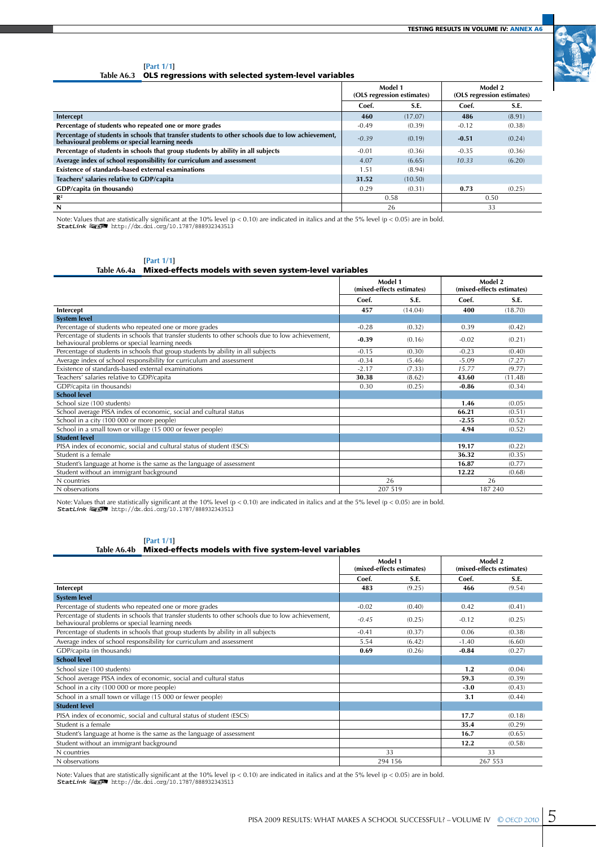

#### **[Part 1/1]**

**Table A6.3** OLS regressions with selected system-level variables

|                                                                                                                                                  | Model 1<br>(OLS regression estimates) |         |         | Model 2<br>(OLS regression estimates) |
|--------------------------------------------------------------------------------------------------------------------------------------------------|---------------------------------------|---------|---------|---------------------------------------|
|                                                                                                                                                  | Coef.                                 | S.E.    | Coef.   | S.E.                                  |
| Intercept                                                                                                                                        | 460                                   | (17.07) | 486     | (8.91)                                |
| Percentage of students who repeated one or more grades                                                                                           | $-0.49$                               | (0.39)  | $-0.12$ | (0.38)                                |
| Percentage of students in schools that transfer students to other schools due to low achievement, behavioural problems or special learning needs | $-0.39$                               | (0.19)  | $-0.51$ | (0.24)                                |
| Percentage of students in schools that group students by ability in all subjects                                                                 | $-0.01$                               | (0.36)  | $-0.35$ | (0.36)                                |
| Average index of school responsibility for curriculum and assessment                                                                             | 4.07                                  | (6.65)  | 10.33   | (6.20)                                |
| Existence of standards-based external examinations                                                                                               | 1.51                                  | (8.94)  |         |                                       |
| Teachers' salaries relative to GDP/capita                                                                                                        | 31.52                                 | (10.50) |         |                                       |
| GDP/capita (in thousands)                                                                                                                        | 0.29                                  | (0.31)  | 0.73    | (0.25)                                |
| $\mathbb{R}^2$                                                                                                                                   |                                       | 0.58    |         | 0.50                                  |
| N                                                                                                                                                |                                       | 26      |         | 33                                    |

Note: Values that are statistically significant at the 10% level (p < 0.10) are indicated in italics and at the 5% level (p < 0.05) are in bold.<br>**StatLink 霸王 h**ttp://dx.doi.org/10.1787/888932343513

# **[Part 1/1]**

**Table A6.4a** Mixed-effects models with seven system-level variables

|                                                                                                                                                     | Model 1<br>(mixed-effects estimates) |         |         | Model 2<br>(mixed-effects estimates) |
|-----------------------------------------------------------------------------------------------------------------------------------------------------|--------------------------------------|---------|---------|--------------------------------------|
|                                                                                                                                                     | Coef.                                | S.E.    | Coef.   | S.E.                                 |
| Intercept                                                                                                                                           | 457                                  | (14.04) | 400     | (18.70)                              |
| <b>System level</b>                                                                                                                                 |                                      |         |         |                                      |
| Percentage of students who repeated one or more grades                                                                                              | $-0.28$                              | (0.32)  | 0.39    | (0.42)                               |
| Percentage of students in schools that transfer students to other schools due to low achievement,<br>behavioural problems or special learning needs | $-0.39$                              | (0.16)  | $-0.02$ | (0.21)                               |
| Percentage of students in schools that group students by ability in all subjects                                                                    | $-0.15$                              | (0.30)  | $-0.23$ | (0.40)                               |
| Average index of school responsibility for curriculum and assessment                                                                                | $-0.34$                              | (5.46)  | $-5.09$ | (7.27)                               |
| Existence of standards-based external examinations                                                                                                  | $-2.17$                              | (7.33)  | 15.77   | (9.77)                               |
| Teachers' salaries relative to GDP/capita                                                                                                           | 30.38                                | (8.62)  | 43.60   | (11.48)                              |
| GDP/capita (in thousands)                                                                                                                           | 0.30                                 | (0.25)  | $-0.86$ | (0.34)                               |
| <b>School level</b>                                                                                                                                 |                                      |         |         |                                      |
| School size (100 students)                                                                                                                          |                                      |         | 1.46    | (0.05)                               |
| School average PISA index of economic, social and cultural status                                                                                   |                                      |         | 66.21   | (0.51)                               |
| School in a city (100 000 or more people)                                                                                                           |                                      |         | $-2.55$ | (0.52)                               |
| School in a small town or village (15 000 or fewer people)                                                                                          |                                      |         | 4.94    | (0.52)                               |
| <b>Student level</b>                                                                                                                                |                                      |         |         |                                      |
| PISA index of economic, social and cultural status of student (ESCS)                                                                                |                                      |         | 19.17   | (0.22)                               |
| Student is a female                                                                                                                                 |                                      |         | 36.32   | (0.35)                               |
| Student's language at home is the same as the language of assessment                                                                                |                                      |         | 16.87   | (0.77)                               |
| Student without an immigrant background                                                                                                             |                                      |         | 12.22   | (0.68)                               |
| N countries                                                                                                                                         |                                      | 26      |         | 26                                   |
| N observations                                                                                                                                      |                                      | 207 519 |         | 187 240                              |

Note: Values that are statistically significant at the 10% level (p < 0.10) are indicated in italics and at the 5% level (p < 0.05) are in bold.<br>StatLink 編訳 1ttp://dx.doi.org/10.1787/888932343513

### **[Part 1/1]**

#### **Table A6.4b** Mixed-effects models with five system-level variables

|                                                                                                                                                     | Model 1<br>(mixed-effects estimates) |         | Model 2 | (mixed-effects estimates) |
|-----------------------------------------------------------------------------------------------------------------------------------------------------|--------------------------------------|---------|---------|---------------------------|
|                                                                                                                                                     | Coef.                                | S.E.    | Coef.   | S.E.                      |
| Intercept                                                                                                                                           | 483                                  | (9.25)  | 466     | (9.54)                    |
| <b>System level</b>                                                                                                                                 |                                      |         |         |                           |
| Percentage of students who repeated one or more grades                                                                                              | $-0.02$                              | (0.40)  | 0.42    | (0.41)                    |
| Percentage of students in schools that transfer students to other schools due to low achievement,<br>behavioural problems or special learning needs | $-0.45$                              | (0.25)  | $-0.12$ | (0.25)                    |
| Percentage of students in schools that group students by ability in all subjects                                                                    | $-0.41$                              | (0.37)  | 0.06    | (0.38)                    |
| Average index of school responsibility for curriculum and assessment                                                                                | 5.54                                 | (6.42)  | $-1.40$ | (6.60)                    |
| GDP/capita (in thousands)                                                                                                                           | 0.69                                 | (0.26)  | $-0.84$ | (0.27)                    |
| <b>School level</b>                                                                                                                                 |                                      |         |         |                           |
| School size (100 students)                                                                                                                          |                                      |         | 1.2     | (0.04)                    |
| School average PISA index of economic, social and cultural status                                                                                   |                                      |         | 59.3    | (0.39)                    |
| School in a city (100 000 or more people)                                                                                                           |                                      |         | $-3.0$  | (0.43)                    |
| School in a small town or village (15 000 or fewer people)                                                                                          |                                      |         | 3.1     | (0.44)                    |
| <b>Student level</b>                                                                                                                                |                                      |         |         |                           |
| PISA index of economic, social and cultural status of student (ESCS)                                                                                |                                      |         | 17.7    | (0.18)                    |
| Student is a female                                                                                                                                 |                                      |         | 35.4    | (0.29)                    |
| Student's language at home is the same as the language of assessment                                                                                |                                      |         | 16.7    | (0.65)                    |
| Student without an immigrant background                                                                                                             |                                      |         | 12.2    | (0.58)                    |
| N countries                                                                                                                                         |                                      | 33      | 33      |                           |
| N observations                                                                                                                                      |                                      | 294 156 | 267 553 |                           |

Note: Values that are statistically significant at the 10% level (p < 0.10) are indicated in italics and at the 5% level (p < 0.05) are in bold.<br>StatLink 編訳 1ttp://dx.doi.org/10.1787/888932343513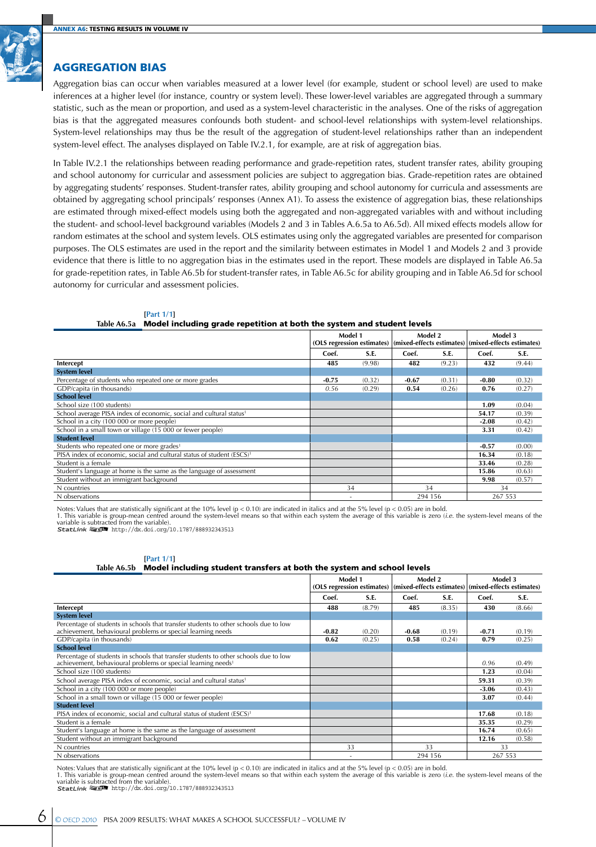## Aggregation bias

Aggregation bias can occur when variables measured at a lower level (for example, student or school level) are used to make inferences at a higher level (for instance, country or system level). These lower-level variables are aggregated through a summary statistic, such as the mean or proportion, and used as a system-level characteristic in the analyses. One of the risks of aggregation bias is that the aggregated measures confounds both student- and school-level relationships with system-level relationships. System-level relationships may thus be the result of the aggregation of student-level relationships rather than an independent system-level effect. The analyses displayed on Table IV.2.1, for example, are at risk of aggregation bias.

In Table IV.2.1 the relationships between reading performance and grade-repetition rates, student transfer rates, ability grouping and school autonomy for curricular and assessment policies are subject to aggregation bias. Grade-repetition rates are obtained by aggregating students' responses. Student-transfer rates, ability grouping and school autonomy for curricula and assessments are obtained by aggregating school principals' responses (Annex A1). To assess the existence of aggregation bias, these relationships are estimated through mixed-effect models using both the aggregated and non-aggregated variables with and without including the student- and school-level background variables (Models 2 and 3 in Tables A.6.5a to A6.5d). All mixed effects models allow for random estimates at the school and system levels. OLS estimates using only the aggregated variables are presented for comparison purposes. The OLS estimates are used in the report and the similarity between estimates in Model 1 and Models 2 and 3 provide evidence that there is little to no aggregation bias in the estimates used in the report. These models are displayed in Table A6.5a for grade-repetition rates, in Table A6.5b for student-transfer rates, in Table A6.5c for ability grouping and in Table A6.5d for school autonomy for curricular and assessment policies.

#### **[Part 1/1]**

#### **Table A6.5a** Model including grade repetition at both the system and student levels

|                                                                                   | Model 1 |        | Model 2<br>(OLS regression estimates)   (mixed-effects estimates)   (mixed-effects estimates) |        | Model 3 |        |
|-----------------------------------------------------------------------------------|---------|--------|-----------------------------------------------------------------------------------------------|--------|---------|--------|
|                                                                                   | Coef.   | S.E.   | Coef.                                                                                         | S.E.   | Coef.   | S.E.   |
| Intercept                                                                         | 485     | (9.98) | 482                                                                                           | (9.23) | 432     | (9.44) |
| <b>System level</b>                                                               |         |        |                                                                                               |        |         |        |
| Percentage of students who repeated one or more grades                            | $-0.75$ | (0.32) | $-0.67$                                                                                       | (0.31) | $-0.80$ | (0.32) |
| GDP/capita (in thousands)                                                         | 0.56    | (0.29) | 0.54                                                                                          | (0.26) | 0.76    | (0.27) |
| <b>School level</b>                                                               |         |        |                                                                                               |        |         |        |
| School size (100 students)                                                        |         |        |                                                                                               |        | 1.09    | (0.04) |
| School average PISA index of economic, social and cultural status <sup>1</sup>    |         |        |                                                                                               |        | 54.17   | (0.39) |
| School in a city (100 000 or more people)                                         |         |        |                                                                                               |        | $-2.08$ | (0.42) |
| School in a small town or village (15 000 or fewer people)                        |         |        |                                                                                               |        | 3.31    | (0.42) |
| <b>Student level</b>                                                              |         |        |                                                                                               |        |         |        |
| Students who repeated one or more grades <sup>1</sup>                             |         |        |                                                                                               |        | $-0.57$ | (0.00) |
| PISA index of economic, social and cultural status of student (ESCS) <sup>1</sup> |         |        |                                                                                               |        | 16.34   | (0.18) |
| Student is a female                                                               |         |        |                                                                                               |        | 33.46   | (0.28) |
| Student's language at home is the same as the language of assessment              |         |        |                                                                                               |        | 15.86   | (0.63) |
| Student without an immigrant background                                           |         |        |                                                                                               |        | 9.98    | (0.57) |
| N countries                                                                       |         | 34     | 34                                                                                            |        | 34      |        |
| N observations                                                                    |         |        | 294 156                                                                                       |        | 267 553 |        |

Notes: Values that are statistically significant at the 10% level (p < 0.10) are indicated in italics and at the 5% level (p < 0.05) are in bold.<br>1. This variable is group-mean centred around the system-level means so tha

1 2http://dx.doi.org/10.1787/888932343513

#### **[Part 1/1]**

### **Table A6.5b** Model including student transfers at both the system and school levels

|                                                                                                                                                                  | Model 1<br>(OLS regression estimates) (mixed-effects estimates) (mixed-effects estimates) |        | Model 2 |        | Model 3 |        |
|------------------------------------------------------------------------------------------------------------------------------------------------------------------|-------------------------------------------------------------------------------------------|--------|---------|--------|---------|--------|
|                                                                                                                                                                  | Coef.                                                                                     | S.E.   | Coef.   | S.E.   | Coef.   | S.E.   |
| Intercept                                                                                                                                                        | 488                                                                                       | (8.79) | 485     | (8.35) | 430     | (8.66) |
| <b>System level</b>                                                                                                                                              |                                                                                           |        |         |        |         |        |
| Percentage of students in schools that transfer students to other schools due to low<br>achievement, behavioural problems or special learning needs              | $-0.82$                                                                                   | (0.20) | $-0.68$ | (0.19) | $-0.71$ | (0.19) |
| GDP/capita (in thousands)                                                                                                                                        | 0.62                                                                                      | (0.25) | 0.58    | (0.24) | 0.79    | (0.25) |
| <b>School level</b>                                                                                                                                              |                                                                                           |        |         |        |         |        |
| Percentage of students in schools that transfer students to other schools due to low<br>achievement, behavioural problems or special learning needs <sup>1</sup> |                                                                                           |        |         |        | 0.96    | (0.49) |
| School size (100 students)                                                                                                                                       |                                                                                           |        |         |        | 1.23    | (0.04) |
| School average PISA index of economic, social and cultural status <sup>1</sup>                                                                                   |                                                                                           |        |         |        | 59.31   | (0.39) |
| School in a city (100 000 or more people)                                                                                                                        |                                                                                           |        |         |        | $-3.06$ | (0.43) |
| School in a small town or village (15 000 or fewer people)                                                                                                       |                                                                                           |        |         |        | 3.07    | (0.44) |
| <b>Student level</b>                                                                                                                                             |                                                                                           |        |         |        |         |        |
| PISA index of economic, social and cultural status of student (ESCS) <sup>1</sup>                                                                                |                                                                                           |        |         |        | 17.68   | (0.18) |
| Student is a female                                                                                                                                              |                                                                                           |        |         |        | 35.35   | (0.29) |
| Student's language at home is the same as the language of assessment                                                                                             |                                                                                           |        |         |        | 16.74   | (0.65) |
| Student without an immigrant background                                                                                                                          |                                                                                           |        |         |        | 12.16   | (0.58) |
| N countries                                                                                                                                                      |                                                                                           | 33     | 33      |        | 33      |        |
| N observations                                                                                                                                                   |                                                                                           |        | 294 156 |        | 267 553 |        |

Notes: Values that are statistically significant at the 10% level (p < 0.10) are indicated in italics and at the 5% level (p < 0.05) are in bold.<br>1. This variable is group-mean centred around the system-level means so th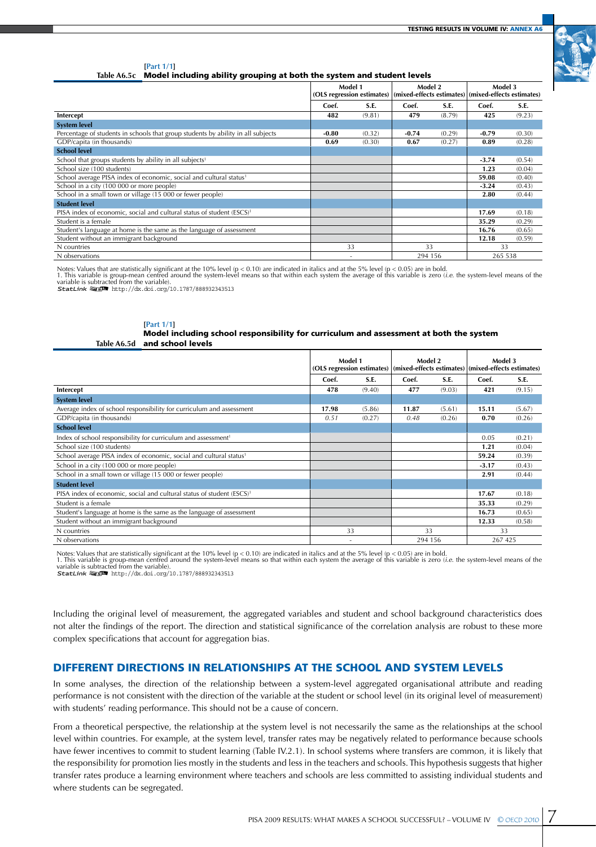

**[Part 1/1]**

**Table A6.5c** Model including ability grouping at both the system and student levels

|                                                                                   | Model 1<br>(OLS regression estimates)   (mixed-effects estimates)   (mixed-effects estimates) |        | Model 2 |        | Model 3 |        |
|-----------------------------------------------------------------------------------|-----------------------------------------------------------------------------------------------|--------|---------|--------|---------|--------|
|                                                                                   | Coef.                                                                                         | S.E.   | Coef.   | S.E.   | Coef.   | S.E.   |
| Intercept                                                                         | 482                                                                                           | (9.81) | 479     | (8.79) | 425     | (9.23) |
| <b>System level</b>                                                               |                                                                                               |        |         |        |         |        |
| Percentage of students in schools that group students by ability in all subjects  | $-0.80$                                                                                       | (0.32) | $-0.74$ | (0.29) | $-0.79$ | (0.30) |
| GDP/capita (in thousands)                                                         | 0.69                                                                                          | (0.30) | 0.67    | (0.27) | 0.89    | (0.28) |
| <b>School level</b>                                                               |                                                                                               |        |         |        |         |        |
| School that groups students by ability in all subjects <sup>1</sup>               |                                                                                               |        |         |        | $-3.74$ | (0.54) |
| School size (100 students)                                                        |                                                                                               |        |         |        | 1.23    | (0.04) |
| School average PISA index of economic, social and cultural status <sup>1</sup>    |                                                                                               |        |         |        | 59.08   | (0.40) |
| School in a city (100 000 or more people)                                         |                                                                                               |        |         |        | $-3.24$ | (0.43) |
| School in a small town or village (15 000 or fewer people)                        |                                                                                               |        |         |        | 2.80    | (0.44) |
| <b>Student level</b>                                                              |                                                                                               |        |         |        |         |        |
| PISA index of economic, social and cultural status of student (ESCS) <sup>1</sup> |                                                                                               |        |         |        | 17.69   | (0.18) |
| Student is a female                                                               |                                                                                               |        |         |        | 35.29   | (0.29) |
| Student's language at home is the same as the language of assessment              |                                                                                               |        |         |        | 16.76   | (0.65) |
| Student without an immigrant background                                           |                                                                                               |        |         |        | 12.18   | (0.59) |
| N countries                                                                       |                                                                                               | 33     | 33      |        | 33      |        |
| N observations                                                                    |                                                                                               |        | 294 156 |        | 265 538 |        |

Notes: Values that are statistically significant at the 10% level (p < 0.10) are indicated in italics and at the 5% level (p < 0.05) are in bold.<br>1. This variable is group-mean centred around the system-level means so t

#### **[Part 1/1] Table A6.5d** Model including school responsibility for curriculum and assessment at both the system and school levels

|                                                                                   | Model 1<br>(OLS regression estimates) |        | Model 2<br>(mixed-effects estimates) (mixed-effects estimates) |        | Model 3 |        |
|-----------------------------------------------------------------------------------|---------------------------------------|--------|----------------------------------------------------------------|--------|---------|--------|
|                                                                                   | Coef.                                 | S.E.   | Coef.                                                          | S.E.   | Coef.   | S.E.   |
| Intercept                                                                         | 478                                   | (9.40) | 477                                                            | (9.03) | 421     | (9.15) |
| <b>System level</b>                                                               |                                       |        |                                                                |        |         |        |
| Average index of school responsibility for curriculum and assessment              | 17.98                                 | (5.86) | 11.87                                                          | (5.61) | 15.11   | (5.67) |
| GDP/capita (in thousands)                                                         | 0.51                                  | (0.27) | 0.48                                                           | (0.26) | 0.70    | (0.26) |
| <b>School level</b>                                                               |                                       |        |                                                                |        |         |        |
| Index of school responsibility for curriculum and assessment <sup>1</sup>         |                                       |        |                                                                |        | 0.05    | (0.21) |
| School size (100 students)                                                        |                                       |        |                                                                |        | 1.21    | (0.04) |
| School average PISA index of economic, social and cultural status <sup>1</sup>    |                                       |        |                                                                |        | 59.24   | (0.39) |
| School in a city (100 000 or more people)                                         |                                       |        |                                                                |        | $-3.17$ | (0.43) |
| School in a small town or village (15 000 or fewer people)                        |                                       |        |                                                                |        | 2.91    | (0.44) |
| <b>Student level</b>                                                              |                                       |        |                                                                |        |         |        |
| PISA index of economic, social and cultural status of student (ESCS) <sup>1</sup> |                                       |        |                                                                |        | 17.67   | (0.18) |
| Student is a female                                                               |                                       |        |                                                                |        | 35.33   | (0.29) |
| Student's language at home is the same as the language of assessment              |                                       |        |                                                                |        | 16.73   | (0.65) |
| Student without an immigrant background                                           |                                       |        |                                                                |        | 12.33   | (0.58) |
| N countries                                                                       |                                       | 33     | 33                                                             |        | 33      |        |
| N observations                                                                    |                                       |        | 294 156                                                        |        | 267 425 |        |

Notes: Values that are statistically significant at the 10% level (p < 0.10) are indicated in italics and at the 5% level (p < 0.05) are in bold.<br>1. This variable is group-mean centred around the system-level means so th

Including the original level of measurement, the aggregated variables and student and school background characteristics does not alter the findings of the report. The direction and statistical significance of the correlation analysis are robust to these more complex specifications that account for aggregation bias.

## Different directions in relationships at the school and system levels

In some analyses, the direction of the relationship between a system-level aggregated organisational attribute and reading performance is not consistent with the direction of the variable at the student or school level (in its original level of measurement) with students' reading performance. This should not be a cause of concern.

From a theoretical perspective, the relationship at the system level is not necessarily the same as the relationships at the school level within countries. For example, at the system level, transfer rates may be negatively related to performance because schools have fewer incentives to commit to student learning (Table IV.2.1). In school systems where transfers are common, it is likely that the responsibility for promotion lies mostly in the students and less in the teachers and schools. This hypothesis suggests that higher transfer rates produce a learning environment where teachers and schools are less committed to assisting individual students and where students can be segregated.